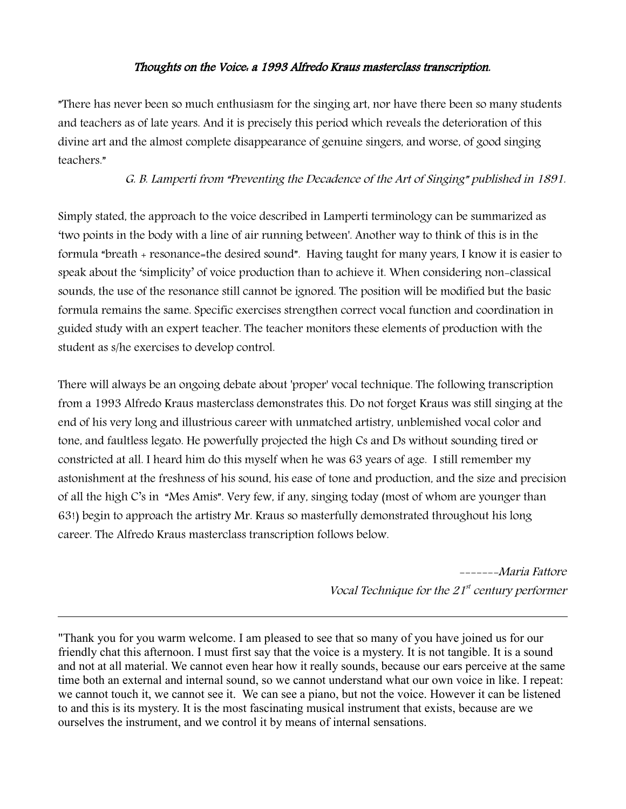## Thoughts on the Voice: a 1993 Alfredo Kraus masterclass transcription.

"There has never been so much enthusiasm for the singing art, nor have there been so many students and teachers as of late years. And it is precisely this period which reveals the deterioration of this divine art and the almost complete disappearance of genuine singers, and worse, of good singing teachers."

G. B. Lamperti from "Preventing the Decadence of the Art of Singing" published in 1891.

Simply stated, the approach to the voice described in Lamperti terminology can be summarized as 'two points in the body with a line of air running between'. Another way to think of this is in the formula "breath + resonance=the desired sound". Having taught for many years, I know it is easier to speak about the 'simplicity' of voice production than to achieve it. When considering non-classical sounds, the use of the resonance still cannot be ignored. The position will be modified but the basic formula remains the same. Specific exercises strengthen correct vocal function and coordination in guided study with an expert teacher. The teacher monitors these elements of production with the student as s/he exercises to develop control.

There will always be an ongoing debate about 'proper' vocal technique. The following transcription from a 1993 Alfredo Kraus masterclass demonstrates this. Do not forget Kraus was still singing at the end of his very long and illustrious career with unmatched artistry, unblemished vocal color and tone, and faultless legato. He powerfully projected the high Cs and Ds without sounding tired or constricted at all. I heard him do this myself when he was 63 years of age. I still remember my astonishment at the freshness of his sound, his ease of tone and production, and the size and precision of all the high C's in "Mes Amis". Very few, if any, singing today (most of whom are younger than 63!) begin to approach the artistry Mr. Kraus so masterfully demonstrated throughout his long career. The Alfredo Kraus masterclass transcription follows below.

> -------Maria Fattore Vocal Technique for the  $21<sup>st</sup>$  century performer

<sup>&</sup>quot;Thank you for you warm welcome. I am pleased to see that so many of you have joined us for our friendly chat this afternoon. I must first say that the voice is a mystery. It is not tangible. It is a sound and not at all material. We cannot even hear how it really sounds, because our ears perceive at the same time both an external and internal sound, so we cannot understand what our own voice in like. I repeat: we cannot touch it, we cannot see it. We can see a piano, but not the voice. However it can be listened to and this is its mystery. It is the most fascinating musical instrument that exists, because are we ourselves the instrument, and we control it by means of internal sensations.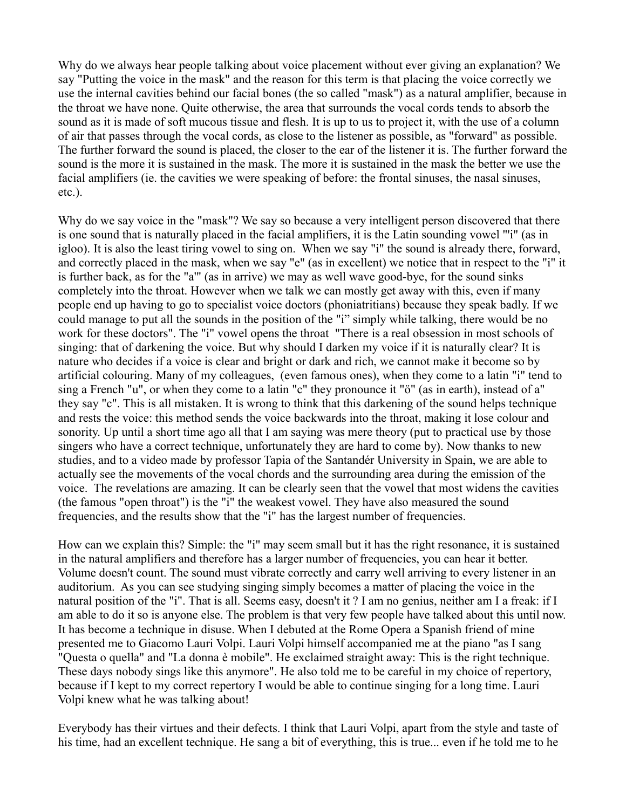Why do we always hear people talking about voice placement without ever giving an explanation? We say "Putting the voice in the mask" and the reason for this term is that placing the voice correctly we use the internal cavities behind our facial bones (the so called "mask") as a natural amplifier, because in the throat we have none. Quite otherwise, the area that surrounds the vocal cords tends to absorb the sound as it is made of soft mucous tissue and flesh. It is up to us to project it, with the use of a column of air that passes through the vocal cords, as close to the listener as possible, as "forward" as possible. The further forward the sound is placed, the closer to the ear of the listener it is. The further forward the sound is the more it is sustained in the mask. The more it is sustained in the mask the better we use the facial amplifiers (ie. the cavities we were speaking of before: the frontal sinuses, the nasal sinuses, etc.).

Why do we say voice in the "mask"? We say so because a very intelligent person discovered that there is one sound that is naturally placed in the facial amplifiers, it is the Latin sounding vowel "'i" (as in igloo). It is also the least tiring vowel to sing on. When we say "i" the sound is already there, forward, and correctly placed in the mask, when we say "e" (as in excellent) we notice that in respect to the "i" it is further back, as for the "a'" (as in arrive) we may as well wave good-bye, for the sound sinks completely into the throat. However when we talk we can mostly get away with this, even if many people end up having to go to specialist voice doctors (phoniatritians) because they speak badly. If we could manage to put all the sounds in the position of the "i" simply while talking, there would be no work for these doctors". The "i" vowel opens the throat "There is a real obsession in most schools of singing: that of darkening the voice. But why should I darken my voice if it is naturally clear? It is nature who decides if a voice is clear and bright or dark and rich, we cannot make it become so by artificial colouring. Many of my colleagues, (even famous ones), when they come to a latin "i" tend to sing a French "u", or when they come to a latin "c" they pronounce it "ö" (as in earth), instead of a" they say "c". This is all mistaken. It is wrong to think that this darkening of the sound helps technique and rests the voice: this method sends the voice backwards into the throat, making it lose colour and sonority. Up until a short time ago all that I am saying was mere theory (put to practical use by those singers who have a correct technique, unfortunately they are hard to come by). Now thanks to new studies, and to a video made by professor Tapia of the Santandér University in Spain, we are able to actually see the movements of the vocal chords and the surrounding area during the emission of the voice. The revelations are amazing. It can be clearly seen that the vowel that most widens the cavities (the famous "open throat") is the "i" the weakest vowel. They have also measured the sound frequencies, and the results show that the "i" has the largest number of frequencies.

How can we explain this? Simple: the "i" may seem small but it has the right resonance, it is sustained in the natural amplifiers and therefore has a larger number of frequencies, you can hear it better. Volume doesn't count. The sound must vibrate correctly and carry well arriving to every listener in an auditorium. As you can see studying singing simply becomes a matter of placing the voice in the natural position of the "i". That is all. Seems easy, doesn't it ? I am no genius, neither am I a freak: if I am able to do it so is anyone else. The problem is that very few people have talked about this until now. It has become a technique in disuse. When I debuted at the Rome Opera a Spanish friend of mine presented me to Giacomo Lauri Volpi. Lauri Volpi himself accompanied me at the piano "as I sang "Questa o quella" and "La donna è mobile". He exclaimed straight away: This is the right technique. These days nobody sings like this anymore". He also told me to be careful in my choice of repertory, because if I kept to my correct repertory I would be able to continue singing for a long time. Lauri Volpi knew what he was talking about!

Everybody has their virtues and their defects. I think that Lauri Volpi, apart from the style and taste of his time, had an excellent technique. He sang a bit of everything, this is true... even if he told me to he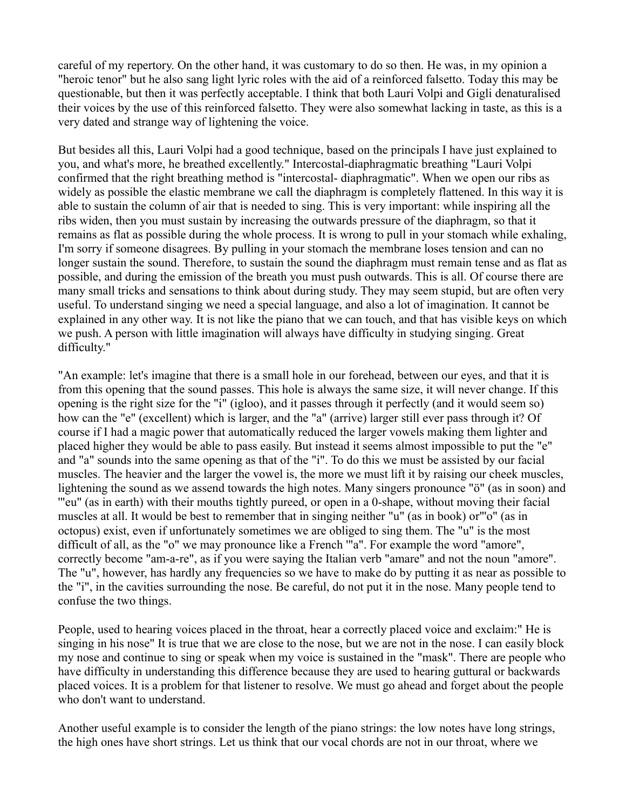careful of my repertory. On the other hand, it was customary to do so then. He was, in my opinion a "heroic tenor" but he also sang light lyric roles with the aid of a reinforced falsetto. Today this may be questionable, but then it was perfectly acceptable. I think that both Lauri Volpi and Gigli denaturalised their voices by the use of this reinforced falsetto. They were also somewhat lacking in taste, as this is a very dated and strange way of lightening the voice.

But besides all this, Lauri Volpi had a good technique, based on the principals I have just explained to you, and what's more, he breathed excellently." Intercostal-diaphragmatic breathing "Lauri Volpi confirmed that the right breathing method is "intercostal- diaphragmatic". When we open our ribs as widely as possible the elastic membrane we call the diaphragm is completely flattened. In this way it is able to sustain the column of air that is needed to sing. This is very important: while inspiring all the ribs widen, then you must sustain by increasing the outwards pressure of the diaphragm, so that it remains as flat as possible during the whole process. It is wrong to pull in your stomach while exhaling, I'm sorry if someone disagrees. By pulling in your stomach the membrane loses tension and can no longer sustain the sound. Therefore, to sustain the sound the diaphragm must remain tense and as flat as possible, and during the emission of the breath you must push outwards. This is all. Of course there are many small tricks and sensations to think about during study. They may seem stupid, but are often very useful. To understand singing we need a special language, and also a lot of imagination. It cannot be explained in any other way. It is not like the piano that we can touch, and that has visible keys on which we push. A person with little imagination will always have difficulty in studying singing. Great difficulty."

"An example: let's imagine that there is a small hole in our forehead, between our eyes, and that it is from this opening that the sound passes. This hole is always the same size, it will never change. If this opening is the right size for the "i" (igloo), and it passes through it perfectly (and it would seem so) how can the "e" (excellent) which is larger, and the "a" (arrive) larger still ever pass through it? Of course if I had a magic power that automatically reduced the larger vowels making them lighter and placed higher they would be able to pass easily. But instead it seems almost impossible to put the "e" and "a" sounds into the same opening as that of the "i". To do this we must be assisted by our facial muscles. The heavier and the larger the vowel is, the more we must lift it by raising our cheek muscles, lightening the sound as we assend towards the high notes. Many singers pronounce "ö" (as in soon) and '"eu" (as in earth) with their mouths tightly pureed, or open in a 0-shape, without moving their facial muscles at all. It would be best to remember that in singing neither "u" (as in book) or"'o" (as in octopus) exist, even if unfortunately sometimes we are obliged to sing them. The "u" is the most difficult of all, as the "o" we may pronounce like a French '"a". For example the word "amore", correctly become "am-a-re", as if you were saying the Italian verb "amare" and not the noun "amore". The "u", however, has hardly any frequencies so we have to make do by putting it as near as possible to the "i", in the cavities surrounding the nose. Be careful, do not put it in the nose. Many people tend to confuse the two things.

People, used to hearing voices placed in the throat, hear a correctly placed voice and exclaim:" He is singing in his nose" It is true that we are close to the nose, but we are not in the nose. I can easily block my nose and continue to sing or speak when my voice is sustained in the "mask". There are people who have difficulty in understanding this difference because they are used to hearing guttural or backwards placed voices. It is a problem for that listener to resolve. We must go ahead and forget about the people who don't want to understand.

Another useful example is to consider the length of the piano strings: the low notes have long strings, the high ones have short strings. Let us think that our vocal chords are not in our throat, where we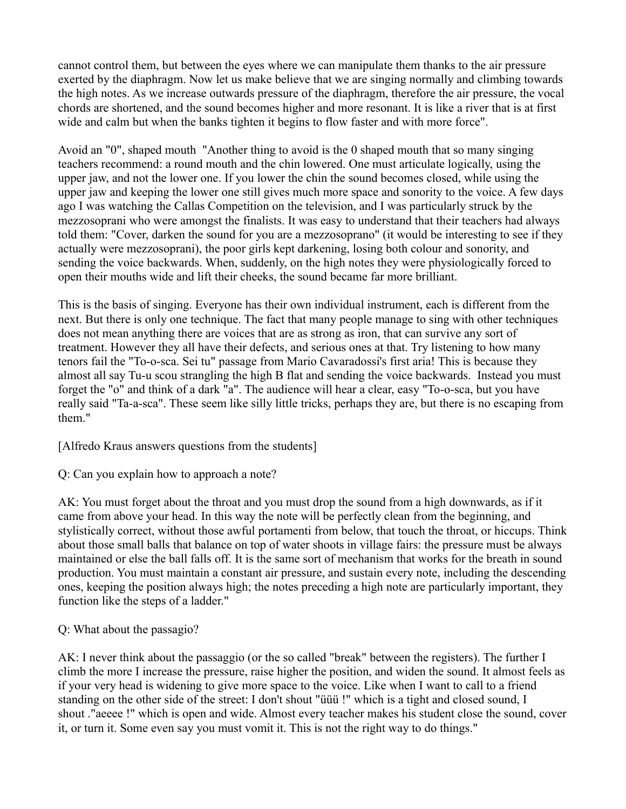cannot control them, but between the eyes where we can manipulate them thanks to the air pressure exerted by the diaphragm. Now let us make believe that we are singing normally and climbing towards the high notes. As we increase outwards pressure of the diaphragm, therefore the air pressure, the vocal chords are shortened, and the sound becomes higher and more resonant. It is like a river that is at first wide and calm but when the banks tighten it begins to flow faster and with more force".

Avoid an "0", shaped mouth "Another thing to avoid is the 0 shaped mouth that so many singing teachers recommend: a round mouth and the chin lowered. One must articulate logically, using the upper jaw, and not the lower one. If you lower the chin the sound becomes closed, while using the upper jaw and keeping the lower one still gives much more space and sonority to the voice. A few days ago I was watching the Callas Competition on the television, and I was particularly struck by the mezzosoprani who were amongst the finalists. It was easy to understand that their teachers had always told them: "Cover, darken the sound for you are a mezzosoprano" (it would be interesting to see if they actually were mezzosoprani), the poor girls kept darkening, losing both colour and sonority, and sending the voice backwards. When, suddenly, on the high notes they were physiologically forced to open their mouths wide and lift their cheeks, the sound became far more brilliant.

This is the basis of singing. Everyone has their own individual instrument, each is different from the next. But there is only one technique. The fact that many people manage to sing with other techniques does not mean anything there are voices that are as strong as iron, that can survive any sort of treatment. However they all have their defects, and serious ones at that. Try listening to how many tenors fail the "To-o-sca. Sei tu" passage from Mario Cavaradossi's first aria! This is because they almost all say Tu-u scou strangling the high B flat and sending the voice backwards. Instead you must forget the "o" and think of a dark "a". The audience will hear a clear, easy "To-o-sca, but you have really said "Ta-a-sca". These seem like silly little tricks, perhaps they are, but there is no escaping from them."

[Alfredo Kraus answers questions from the students]

Q: Can you explain how to approach a note?

AK: You must forget about the throat and you must drop the sound from a high downwards, as if it came from above your head. In this way the note will be perfectly clean from the beginning, and stylistically correct, without those awful portamenti from below, that touch the throat, or hiccups. Think about those small balls that balance on top of water shoots in village fairs: the pressure must be always maintained or else the ball falls off. It is the same sort of mechanism that works for the breath in sound production. You must maintain a constant air pressure, and sustain every note, including the descending ones, keeping the position always high; the notes preceding a high note are particularly important, they function like the steps of a ladder."

## Q: What about the passagio?

AK: I never think about the passaggio (or the so called "break" between the registers). The further I climb the more I increase the pressure, raise higher the position, and widen the sound. It almost feels as if your very head is widening to give more space to the voice. Like when I want to call to a friend standing on the other side of the street: I don't shout "üüü !" which is a tight and closed sound, I shout ."aeeee !" which is open and wide. Almost every teacher makes his student close the sound, cover it, or turn it. Some even say you must vomit it. This is not the right way to do things."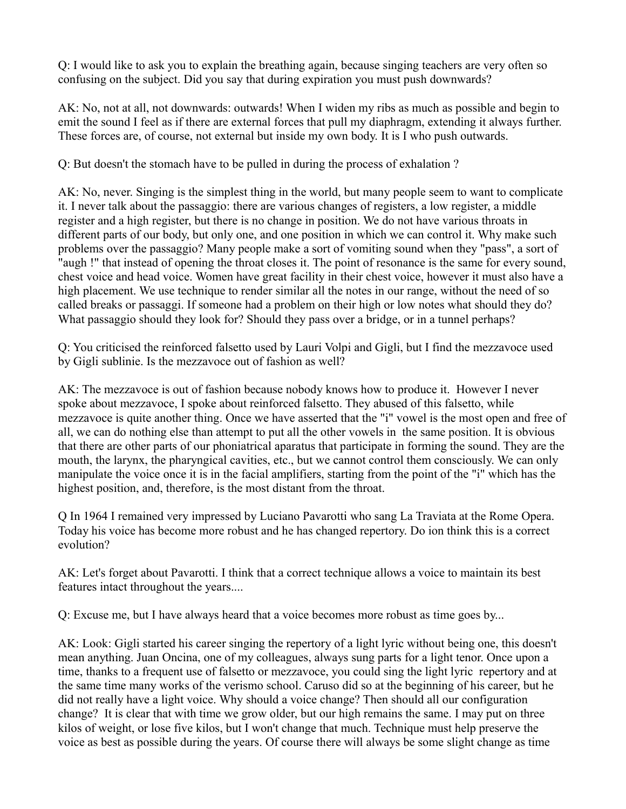Q: I would like to ask you to explain the breathing again, because singing teachers are very often so confusing on the subject. Did you say that during expiration you must push downwards?

AK: No, not at all, not downwards: outwards! When I widen my ribs as much as possible and begin to emit the sound I feel as if there are external forces that pull my diaphragm, extending it always further. These forces are, of course, not external but inside my own body. It is I who push outwards.

Q: But doesn't the stomach have to be pulled in during the process of exhalation ?

AK: No, never. Singing is the simplest thing in the world, but many people seem to want to complicate it. I never talk about the passaggio: there are various changes of registers, a low register, a middle register and a high register, but there is no change in position. We do not have various throats in different parts of our body, but only one, and one position in which we can control it. Why make such problems over the passaggio? Many people make a sort of vomiting sound when they "pass", a sort of "augh !" that instead of opening the throat closes it. The point of resonance is the same for every sound, chest voice and head voice. Women have great facility in their chest voice, however it must also have a high placement. We use technique to render similar all the notes in our range, without the need of so called breaks or passaggi. If someone had a problem on their high or low notes what should they do? What passaggio should they look for? Should they pass over a bridge, or in a tunnel perhaps?

Q: You criticised the reinforced falsetto used by Lauri Volpi and Gigli, but I find the mezzavoce used by Gigli sublinie. Is the mezzavoce out of fashion as well?

AK: The mezzavoce is out of fashion because nobody knows how to produce it. However I never spoke about mezzavoce, I spoke about reinforced falsetto. They abused of this falsetto, while mezzavoce is quite another thing. Once we have asserted that the "i" vowel is the most open and free of all, we can do nothing else than attempt to put all the other vowels in the same position. It is obvious that there are other parts of our phoniatrical aparatus that participate in forming the sound. They are the mouth, the larynx, the pharyngical cavities, etc., but we cannot control them consciously. We can only manipulate the voice once it is in the facial amplifiers, starting from the point of the "i" which has the highest position, and, therefore, is the most distant from the throat.

Q In 1964 I remained very impressed by Luciano Pavarotti who sang La Traviata at the Rome Opera. Today his voice has become more robust and he has changed repertory. Do ion think this is a correct evolution?

AK: Let's forget about Pavarotti. I think that a correct technique allows a voice to maintain its best features intact throughout the years....

Q: Excuse me, but I have always heard that a voice becomes more robust as time goes by...

AK: Look: Gigli started his career singing the repertory of a light lyric without being one, this doesn't mean anything. Juan Oncina, one of my colleagues, always sung parts for a light tenor. Once upon a time, thanks to a frequent use of falsetto or mezzavoce, you could sing the light lyric repertory and at the same time many works of the verismo school. Caruso did so at the beginning of his career, but he did not really have a light voice. Why should a voice change? Then should all our configuration change? It is clear that with time we grow older, but our high remains the same. I may put on three kilos of weight, or lose five kilos, but I won't change that much. Technique must help preserve the voice as best as possible during the years. Of course there will always be some slight change as time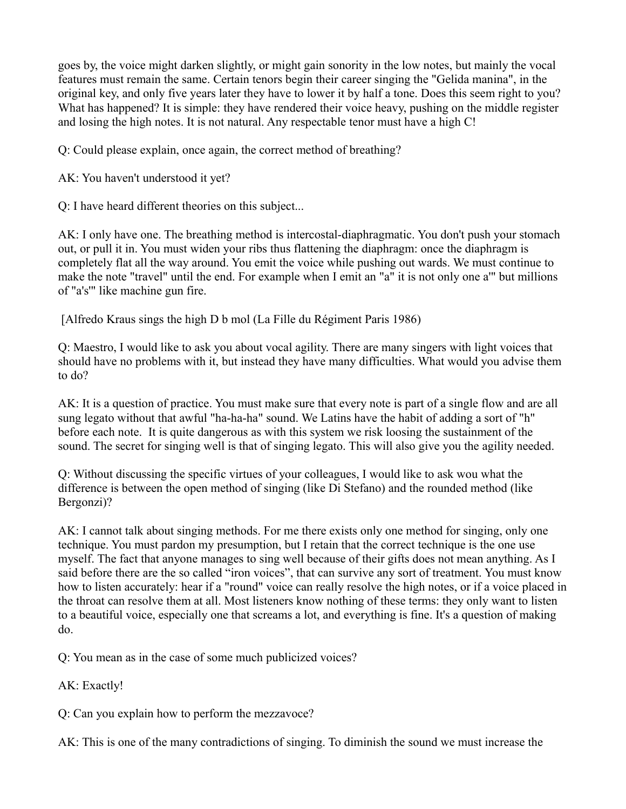goes by, the voice might darken slightly, or might gain sonority in the low notes, but mainly the vocal features must remain the same. Certain tenors begin their career singing the "Gelida manina", in the original key, and only five years later they have to lower it by half a tone. Does this seem right to you? What has happened? It is simple: they have rendered their voice heavy, pushing on the middle register and losing the high notes. It is not natural. Any respectable tenor must have a high C!

Q: Could please explain, once again, the correct method of breathing?

AK: You haven't understood it yet?

Q: I have heard different theories on this subject...

AK: I only have one. The breathing method is intercostal-diaphragmatic. You don't push your stomach out, or pull it in. You must widen your ribs thus flattening the diaphragm: once the diaphragm is completely flat all the way around. You emit the voice while pushing out wards. We must continue to make the note "travel" until the end. For example when I emit an "a" it is not only one a'" but millions of "a's'" like machine gun fire.

[Alfredo Kraus sings the high D b mol (La Fille du Régiment Paris 1986)

Q: Maestro, I would like to ask you about vocal agility. There are many singers with light voices that should have no problems with it, but instead they have many difficulties. What would you advise them to do?

AK: It is a question of practice. You must make sure that every note is part of a single flow and are all sung legato without that awful "ha-ha-ha" sound. We Latins have the habit of adding a sort of "h" before each note. It is quite dangerous as with this system we risk loosing the sustainment of the sound. The secret for singing well is that of singing legato. This will also give you the agility needed.

Q: Without discussing the specific virtues of your colleagues, I would like to ask wou what the difference is between the open method of singing (like Di Stefano) and the rounded method (like Bergonzi)?

AK: I cannot talk about singing methods. For me there exists only one method for singing, only one technique. You must pardon my presumption, but I retain that the correct technique is the one use myself. The fact that anyone manages to sing well because of their gifts does not mean anything. As I said before there are the so called "iron voices", that can survive any sort of treatment. You must know how to listen accurately: hear if a "round" voice can really resolve the high notes, or if a voice placed in the throat can resolve them at all. Most listeners know nothing of these terms: they only want to listen to a beautiful voice, especially one that screams a lot, and everything is fine. It's a question of making do.

Q: You mean as in the case of some much publicized voices?

AK: Exactly!

Q: Can you explain how to perform the mezzavoce?

AK: This is one of the many contradictions of singing. To diminish the sound we must increase the